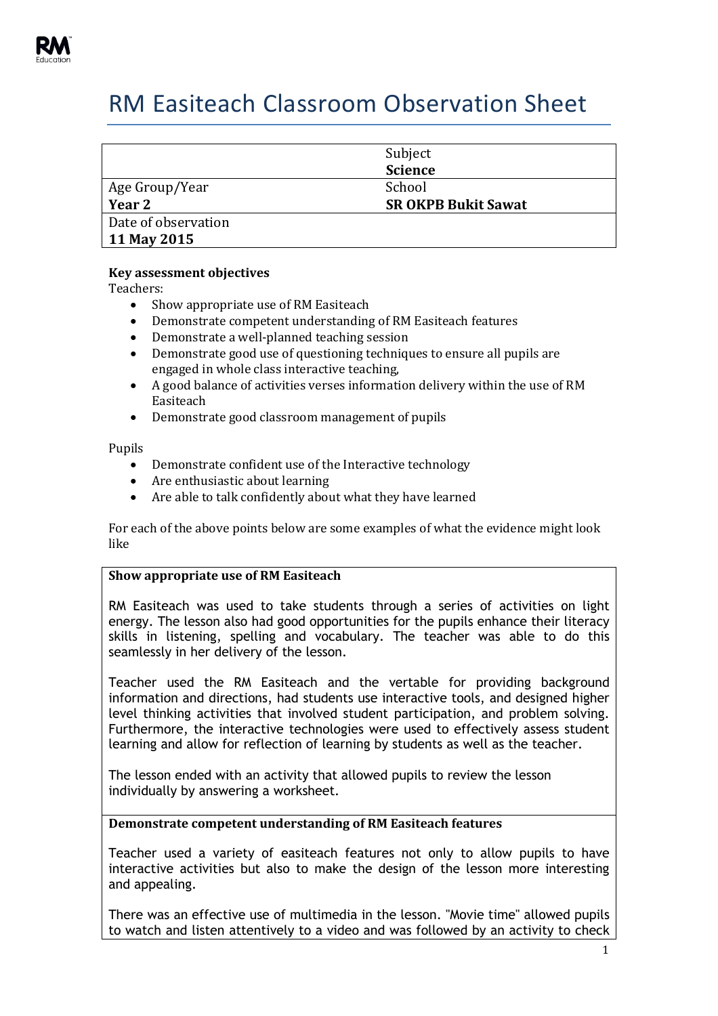

# RM Easiteach Classroom Observation Sheet

|                     | Subject<br><b>Science</b>  |
|---------------------|----------------------------|
| Age Group/Year      | School                     |
| Year 2              | <b>SR OKPB Bukit Sawat</b> |
| Date of observation |                            |
| 11 May 2015         |                            |

## **Key assessment objectives**

Teachers:

- Show appropriate use of RM Easiteach
- Demonstrate competent understanding of RM Easiteach features
- Demonstrate a well-planned teaching session
- Demonstrate good use of questioning techniques to ensure all pupils are engaged in whole class interactive teaching,
- A good balance of activities verses information delivery within the use of RM Easiteach
- Demonstrate good classroom management of pupils

Pupils

- Demonstrate confident use of the Interactive technology
- Are enthusiastic about learning
- Are able to talk confidently about what they have learned

For each of the above points below are some examples of what the evidence might look like

## **Show appropriate use of RM Easiteach**

RM Easiteach was used to take students through a series of activities on light energy. The lesson also had good opportunities for the pupils enhance their literacy skills in listening, spelling and vocabulary. The teacher was able to do this seamlessly in her delivery of the lesson.

Teacher used the RM Easiteach and the vertable for providing background information and directions, had students use interactive tools, and designed higher level thinking activities that involved student participation, and problem solving. Furthermore, the interactive technologies were used to effectively assess student learning and allow for reflection of learning by students as well as the teacher.

The lesson ended with an activity that allowed pupils to review the lesson individually by answering a worksheet.

#### **Demonstrate competent understanding of RM Easiteach features**

Teacher used a variety of easiteach features not only to allow pupils to have interactive activities but also to make the design of the lesson more interesting and appealing.

There was an effective use of multimedia in the lesson. "Movie time" allowed pupils to watch and listen attentively to a video and was followed by an activity to check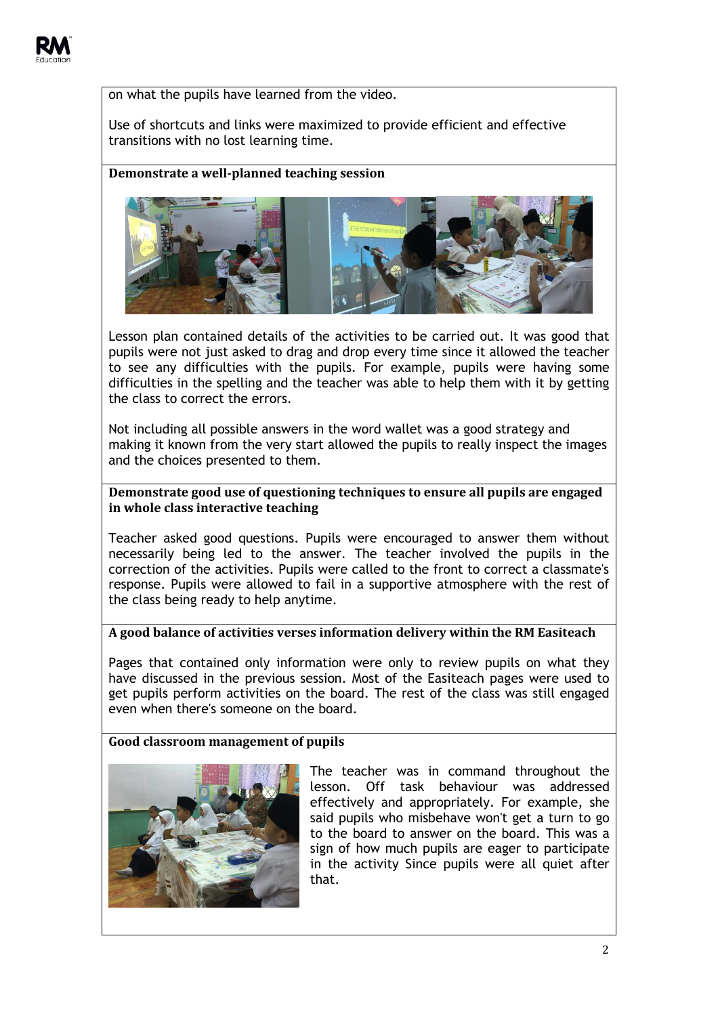

on what the pupils have learned from the video.

Use of shortcuts and links were maximized to provide efficient and effective transitions with no lost learning time.

## **Demonstrate a well-planned teaching session**



Lesson plan contained details of the activities to be carried out. It was good that pupils were not just asked to drag and drop every time since it allowed the teacher to see any difficulties with the pupils. For example, pupils were having some difficulties in the spelling and the teacher was able to help them with it by getting the class to correct the errors.

Not including all possible answers in the word wallet was a good strategy and making it known from the very start allowed the pupils to really inspect the images and the choices presented to them.

## **Demonstrate good use of questioning techniques to ensure all pupils are engaged in whole class interactive teaching**

Teacher asked good questions. Pupils were encouraged to answer them without necessarily being led to the answer. The teacher involved the pupils in the correction of the activities. Pupils were called to the front to correct a classmate's response. Pupils were allowed to fail in a supportive atmosphere with the rest of the class being ready to help anytime.

#### **A good balance of activities verses information delivery within the RM Easiteach**

Pages that contained only information were only to review pupils on what they have discussed in the previous session. Most of the Easiteach pages were used to get pupils perform activities on the board. The rest of the class was still engaged even when there's someone on the board.

#### **Good classroom management of pupils**



The teacher was in command throughout the lesson. Off task behaviour was addressed effectively and appropriately. For example, she said pupils who misbehave won't get a turn to go to the board to answer on the board. This was a sign of how much pupils are eager to participate in the activity Since pupils were all quiet after that.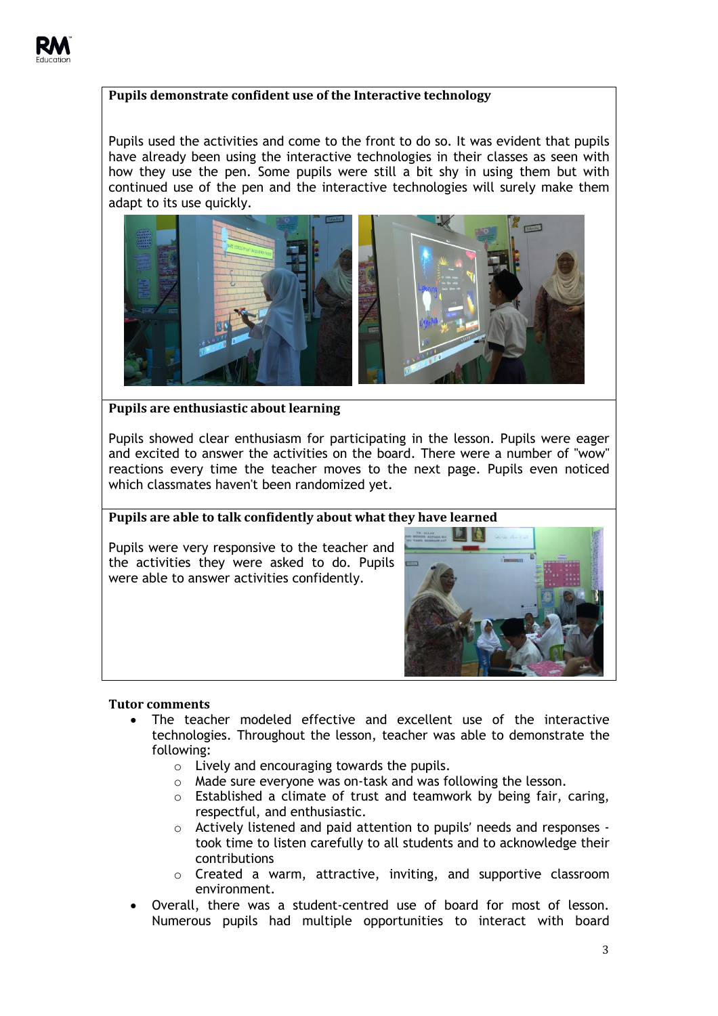# **Pupils demonstrate confident use of the Interactive technology**

Pupils used the activities and come to the front to do so. It was evident that pupils have already been using the interactive technologies in their classes as seen with how they use the pen. Some pupils were still a bit shy in using them but with continued use of the pen and the interactive technologies will surely make them adapt to its use quickly.



**Pupils are enthusiastic about learning**

Pupils showed clear enthusiasm for participating in the lesson. Pupils were eager and excited to answer the activities on the board. There were a number of "wow" reactions every time the teacher moves to the next page. Pupils even noticed which classmates haven't been randomized yet.

# **Pupils are able to talk confidently about what they have learned**

Pupils were very responsive to the teacher and the activities they were asked to do. Pupils were able to answer activities confidently.



#### **Tutor comments**

- The teacher modeled effective and excellent use of the interactive technologies. Throughout the lesson, teacher was able to demonstrate the following:
	- o Lively and encouraging towards the pupils.
	- o Made sure everyone was on-task and was following the lesson.
	- o Established a climate of trust and teamwork by being fair, caring, respectful, and enthusiastic.
	- o Actively listened and paid attention to pupils' needs and responses took time to listen carefully to all students and to acknowledge their contributions
	- o Created a warm, attractive, inviting, and supportive classroom environment.
- Overall, there was a student-centred use of board for most of lesson. Numerous pupils had multiple opportunities to interact with board